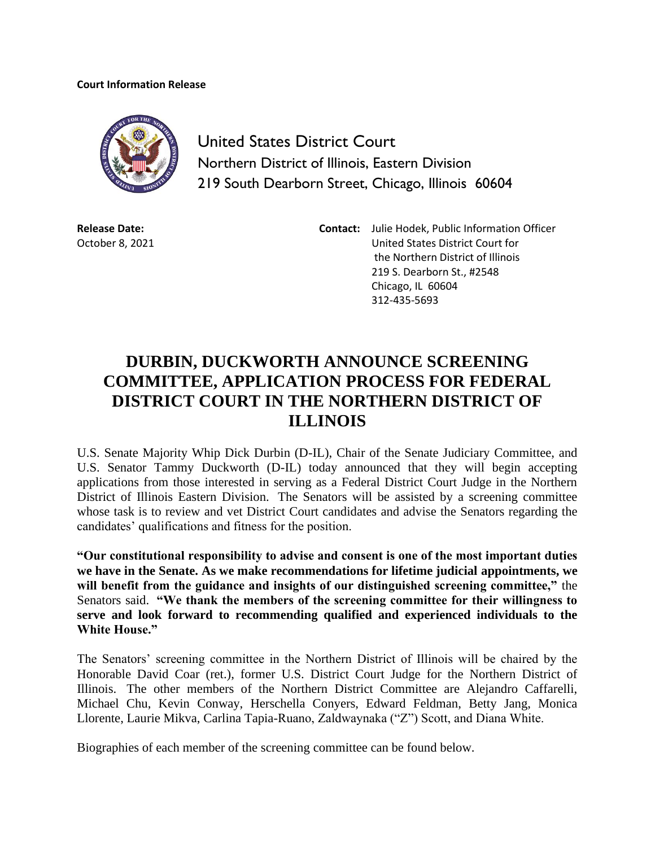## **Court Information Release**



United States District Court Northern District of Illinois, Eastern Division 219 South Dearborn Street, Chicago, Illinois 60604

**Release Date:** October 8, 2021

**Contact:** Julie Hodek, Public Information Officer United States District Court for the Northern District of Illinois 219 S. Dearborn St., #2548 Chicago, IL 60604 312-435-5693

## **DURBIN, DUCKWORTH ANNOUNCE SCREENING COMMITTEE, APPLICATION PROCESS FOR FEDERAL DISTRICT COURT IN THE NORTHERN DISTRICT OF ILLINOIS**

U.S. Senate Majority Whip Dick Durbin (D-IL), Chair of the Senate Judiciary Committee, and U.S. Senator Tammy Duckworth (D-IL) today announced that they will begin accepting applications from those interested in serving as a Federal District Court Judge in the Northern District of Illinois Eastern Division. The Senators will be assisted by a screening committee whose task is to review and vet District Court candidates and advise the Senators regarding the candidates' qualifications and fitness for the position.

**"Our constitutional responsibility to advise and consent is one of the most important duties we have in the Senate. As we make recommendations for lifetime judicial appointments, we will benefit from the guidance and insights of our distinguished screening committee,"** the Senators said. **"We thank the members of the screening committee for their willingness to serve and look forward to recommending qualified and experienced individuals to the White House."**

The Senators' screening committee in the Northern District of Illinois will be chaired by the Honorable David Coar (ret.), former U.S. District Court Judge for the Northern District of Illinois. The other members of the Northern District Committee are Alejandro Caffarelli, Michael Chu, Kevin Conway, Herschella Conyers, Edward Feldman, Betty Jang, Monica Llorente, Laurie Mikva, Carlina Tapia-Ruano, Zaldwaynaka ("Z") Scott, and Diana White.

Biographies of each member of the screening committee can be found below.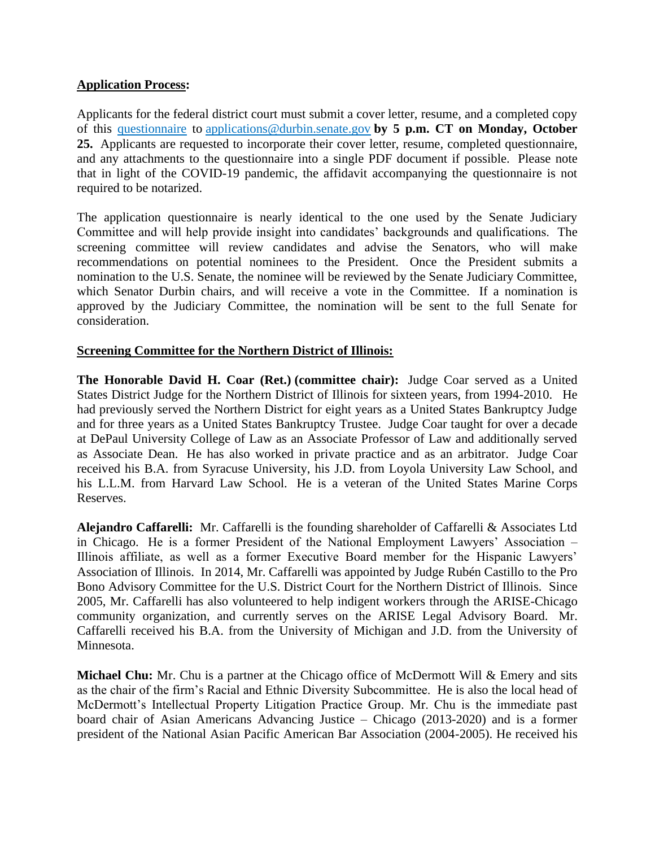## **Application Process:**

Applicants for the federal district court must submit a cover letter, resume, and a completed copy of this [questionnaire](https://www.durbin.senate.gov/imo/media/doc/Questionnaire%20for%20judicial%20applicants.pdf) to [applications@durbin.senate.gov](mailto:applications@durbin.senate.gov) **by 5 p.m. CT on Monday, October 25.** Applicants are requested to incorporate their cover letter, resume, completed questionnaire, and any attachments to the questionnaire into a single PDF document if possible. Please note that in light of the COVID-19 pandemic, the affidavit accompanying the questionnaire is not required to be notarized.

The application questionnaire is nearly identical to the one used by the Senate Judiciary Committee and will help provide insight into candidates' backgrounds and qualifications. The screening committee will review candidates and advise the Senators, who will make recommendations on potential nominees to the President. Once the President submits a nomination to the U.S. Senate, the nominee will be reviewed by the Senate Judiciary Committee, which Senator Durbin chairs, and will receive a vote in the Committee. If a nomination is approved by the Judiciary Committee, the nomination will be sent to the full Senate for consideration.

## **Screening Committee for the Northern District of Illinois:**

**The Honorable David H. Coar (Ret.) (committee chair):** Judge Coar served as a United States District Judge for the Northern District of Illinois for sixteen years, from 1994-2010. He had previously served the Northern District for eight years as a United States Bankruptcy Judge and for three years as a United States Bankruptcy Trustee. Judge Coar taught for over a decade at DePaul University College of Law as an Associate Professor of Law and additionally served as Associate Dean. He has also worked in private practice and as an arbitrator. Judge Coar received his B.A. from Syracuse University, his J.D. from Loyola University Law School, and his L.L.M. from Harvard Law School. He is a veteran of the United States Marine Corps Reserves.

**Alejandro Caffarelli:** Mr. Caffarelli is the founding shareholder of Caffarelli & Associates Ltd in Chicago. He is a former President of the National Employment Lawyers' Association – Illinois affiliate, as well as a former Executive Board member for the Hispanic Lawyers' Association of Illinois. In 2014, Mr. Caffarelli was appointed by Judge Rubén Castillo to the Pro Bono Advisory Committee for the U.S. District Court for the Northern District of Illinois. Since 2005, Mr. Caffarelli has also volunteered to help indigent workers through the ARISE-Chicago community organization, and currently serves on the ARISE Legal Advisory Board. Mr. Caffarelli received his B.A. from the University of Michigan and J.D. from the University of Minnesota.

**Michael Chu:** Mr. Chu is a partner at the Chicago office of McDermott Will & Emery and sits as the chair of the firm's Racial and Ethnic Diversity Subcommittee. He is also the local head of McDermott's Intellectual Property Litigation Practice Group. Mr. Chu is the immediate past board chair of Asian Americans Advancing Justice – Chicago (2013-2020) and is a former president of the National Asian Pacific American Bar Association (2004-2005). He received his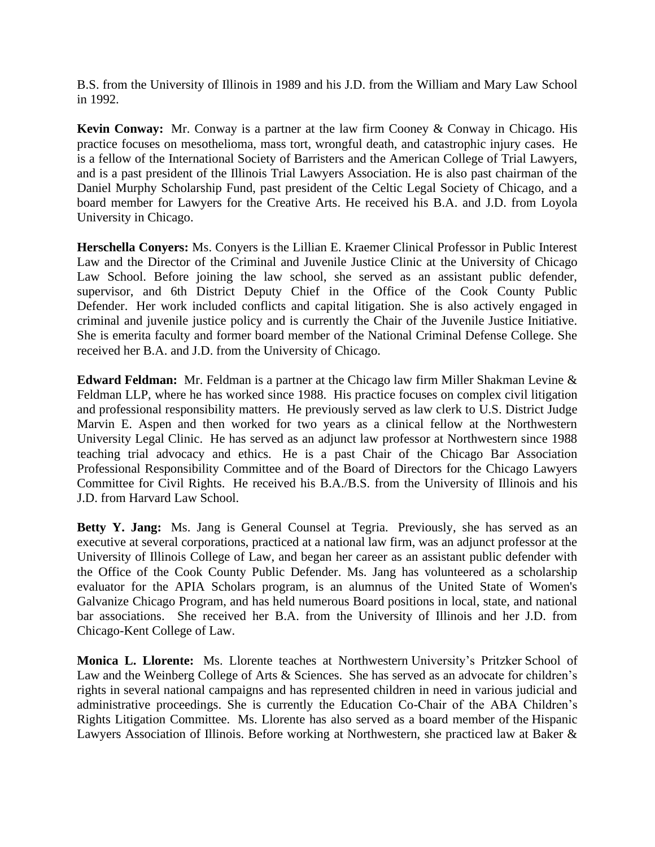B.S. from the University of Illinois in 1989 and his J.D. from the William and Mary Law School in 1992.

**Kevin Conway:** Mr. Conway is a partner at the law firm Cooney & Conway in Chicago. His practice focuses on mesothelioma, mass tort, wrongful death, and catastrophic injury cases. He is a fellow of the International Society of Barristers and the American College of Trial Lawyers, and is a past president of the Illinois Trial Lawyers Association. He is also past chairman of the Daniel Murphy Scholarship Fund, past president of the Celtic Legal Society of Chicago, and a board member for Lawyers for the Creative Arts. He received his B.A. and J.D. from Loyola University in Chicago.

**Herschella Conyers:** Ms. Conyers is the Lillian E. Kraemer Clinical Professor in Public Interest Law and the Director of the Criminal and Juvenile Justice Clinic at the University of Chicago Law School. Before joining the law school, she served as an assistant public defender, supervisor, and 6th District Deputy Chief in the Office of the Cook County Public Defender. Her work included conflicts and capital litigation. She is also actively engaged in criminal and juvenile justice policy and is currently the Chair of the Juvenile Justice Initiative. She is emerita faculty and former board member of the National Criminal Defense College. She received her B.A. and J.D. from the University of Chicago.

**Edward Feldman:** Mr. Feldman is a partner at the Chicago law firm Miller Shakman Levine & Feldman LLP, where he has worked since 1988. His practice focuses on complex civil litigation and professional responsibility matters. He previously served as law clerk to U.S. District Judge Marvin E. Aspen and then worked for two years as a clinical fellow at the Northwestern University Legal Clinic. He has served as an adjunct law professor at Northwestern since 1988 teaching trial advocacy and ethics. He is a past Chair of the Chicago Bar Association Professional Responsibility Committee and of the Board of Directors for the Chicago Lawyers Committee for Civil Rights. He received his B.A./B.S. from the University of Illinois and his J.D. from Harvard Law School.

**Betty Y. Jang:** Ms. Jang is General Counsel at Tegria. Previously, she has served as an executive at several corporations, practiced at a national law firm, was an adjunct professor at the University of Illinois College of Law, and began her career as an assistant public defender with the Office of the Cook County Public Defender. Ms. Jang has volunteered as a scholarship evaluator for the APIA Scholars program, is an alumnus of the United State of Women's Galvanize Chicago Program, and has held numerous Board positions in local, state, and national bar associations. She received her B.A. from the University of Illinois and her J.D. from Chicago-Kent College of Law.

**Monica L. Llorente:** Ms. Llorente teaches at Northwestern University's Pritzker School of Law and the Weinberg College of Arts & Sciences. She has served as an advocate for children's rights in several national campaigns and has represented children in need in various judicial and administrative proceedings. She is currently the Education Co-Chair of the ABA Children's Rights Litigation Committee. Ms. Llorente has also served as a board member of the Hispanic Lawyers Association of Illinois. Before working at Northwestern, she practiced law at Baker &